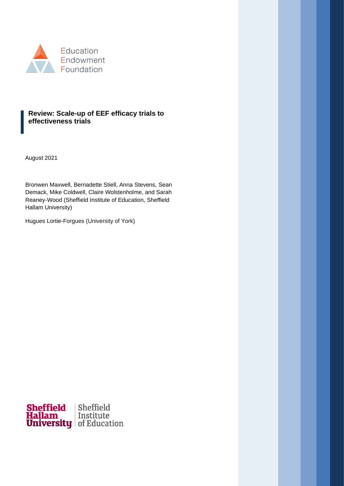

## **Review: Scale-up of EEF efficacy trials to effectiveness trials**

August 2021

Bronwen Maxwell, Bernadette Stiell, Anna Stevens, Sean Demack, Mike Coldwell, Claire Wolstenholme, and Sarah Reaney-Wood (Sheffield Institute of Education, Sheffield Hallam University)

Hugues Lortie-Forgues (University of York)

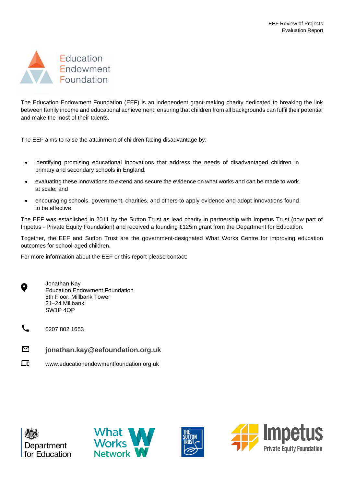

The Education Endowment Foundation (EEF) is an independent grant-making charity dedicated to breaking the link between family income and educational achievement, ensuring that children from all backgrounds can fulfil their potential and make the most of their talents.

The EEF aims to raise the attainment of children facing disadvantage by:

- identifying promising educational innovations that address the needs of disadvantaged children in primary and secondary schools in England;
- evaluating these innovations to extend and secure the evidence on what works and can be made to work at scale; and
- encouraging schools, government, charities, and others to apply evidence and adopt innovations found to be effective.

The EEF was established in 2011 by the Sutton Trust as lead charity in partnership with Impetus Trust (now part of Impetus - Private Equity Foundation) and received a founding £125m grant from the Department for Education.

Together, the EEF and Sutton Trust are the government-designated What Works Centre for improving education outcomes for school-aged children.

For more information about the EEF or this report please contact:



- 0207 802 1653
- ⊠ **jonathan.kay@eefoundation.org.uk**
- 匝 www.educationendowmentfoundation.org.uk







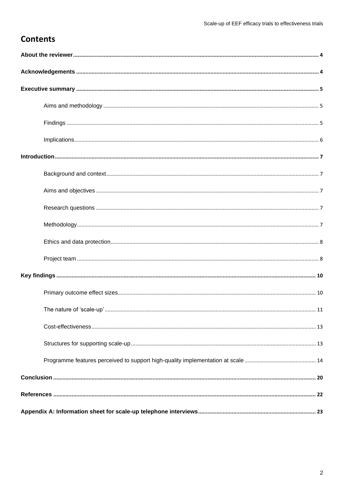# **Contents**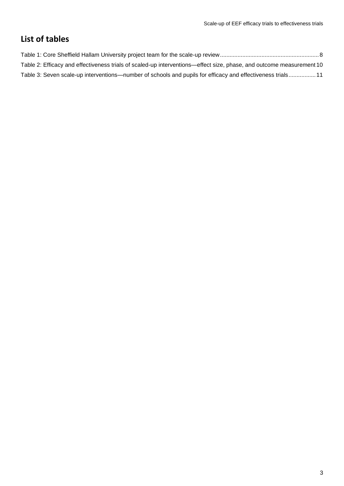# **List of tables**

| Table 2: Efficacy and effectiveness trials of scaled-up interventions—effect size, phase, and outcome measurement 10 |
|----------------------------------------------------------------------------------------------------------------------|
| Table 3: Seven scale-up interventions—number of schools and pupils for efficacy and effectiveness trials11           |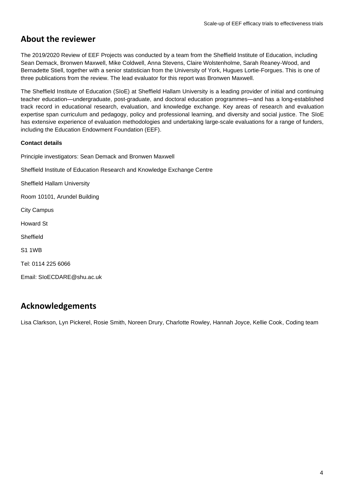# <span id="page-4-0"></span>**About the reviewer**

The 2019/2020 Review of EEF Projects was conducted by a team from the Sheffield Institute of Education, including Sean Demack, Bronwen Maxwell, Mike Coldwell, Anna Stevens, Claire Wolstenholme, Sarah Reaney-Wood, and Bernadette Stiell, together with a senior statistician from the University of York, Hugues Lortie-Forgues. This is one of three publications from the review. The lead evaluator for this report was Bronwen Maxwell.

The Sheffield Institute of Education (SIoE) at Sheffield Hallam University is a leading provider of initial and continuing teacher education—undergraduate, post-graduate, and doctoral education programmes—and has a long-established track record in educational research, evaluation, and knowledge exchange. Key areas of research and evaluation expertise span curriculum and pedagogy, policy and professional learning, and diversity and social justice. The SIoE has extensive experience of evaluation methodologies and undertaking large-scale evaluations for a range of funders, including the Education Endowment Foundation (EEF).

#### **Contact details**

Principle investigators: Sean Demack and Bronwen Maxwell

Sheffield Institute of Education Research and Knowledge Exchange Centre

Sheffield Hallam University

Room 10101, Arundel Building

City Campus

Howard St

Sheffield

S1 1WB

Tel: 0114 225 6066

Email: [SIoECDARE@shu.ac.uk](mailto:SIoECDARE@shu.ac.uk)

# <span id="page-4-1"></span>**Acknowledgements**

Lisa Clarkson, Lyn Pickerel, Rosie Smith, Noreen Drury, Charlotte Rowley, Hannah Joyce, Kellie Cook, Coding team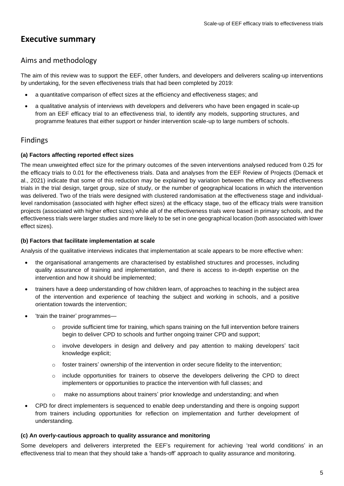# <span id="page-5-0"></span>**Executive summary**

# <span id="page-5-1"></span>Aims and methodology

The aim of this review was to support the EEF, other funders, and developers and deliverers scaling-up interventions by undertaking, for the seven effectiveness trials that had been completed by 2019:

- a quantitative comparison of effect sizes at the efficiency and effectiveness stages; and
- a qualitative analysis of interviews with developers and deliverers who have been engaged in scale-up from an EEF efficacy trial to an effectiveness trial, to identify any models, supporting structures, and programme features that either support or hinder intervention scale-up to large numbers of schools.

## <span id="page-5-2"></span>Findings

#### **(a) Factors affecting reported effect sizes**

The mean unweighted effect size for the primary outcomes of the seven interventions analysed reduced from 0.25 for the efficacy trials to 0.01 for the effectiveness trials. Data and analyses from the EEF Review of Projects (Demack et al., 2021) indicate that some of this reduction may be explained by variation between the efficacy and effectiveness trials in the trial design, target group, size of study, or the number of geographical locations in which the intervention was delivered. Two of the trials were designed with clustered randomisation at the effectiveness stage and individuallevel randomisation (associated with higher effect sizes) at the efficacy stage, two of the efficacy trials were transition projects (associated with higher effect sizes) while all of the effectiveness trials were based in primary schools, and the effectiveness trials were larger studies and more likely to be set in one geographical location (both associated with lower effect sizes).

#### **(b) Factors that facilitate implementation at scale**

Analysis of the qualitative interviews indicates that implementation at scale appears to be more effective when:

- the organisational arrangements are characterised by established structures and processes, including quality assurance of training and implementation, and there is access to in-depth expertise on the intervention and how it should be implemented;
- trainers have a deep understanding of how children learn, of approaches to teaching in the subject area of the intervention and experience of teaching the subject and working in schools, and a positive orientation towards the intervention;
- 'train the trainer' programmes—
	- $\circ$  provide sufficient time for training, which spans training on the full intervention before trainers begin to deliver CPD to schools and further ongoing trainer CPD and support;
	- $\circ$  involve developers in design and delivery and pay attention to making developers' tacit knowledge explicit;
	- $\circ$  foster trainers' ownership of the intervention in order secure fidelity to the intervention;
	- $\circ$  include opportunities for trainers to observe the developers delivering the CPD to direct implementers or opportunities to practice the intervention with full classes; and
	- o make no assumptions about trainers' prior knowledge and understanding; and when
- CPD for direct implementers is sequenced to enable deep understanding and there is ongoing support from trainers including opportunities for reflection on implementation and further development of understanding.

#### **(c) An overly-cautious approach to quality assurance and monitoring**

Some developers and deliverers interpreted the EEF's requirement for achieving 'real world conditions' in an effectiveness trial to mean that they should take a 'hands-off' approach to quality assurance and monitoring.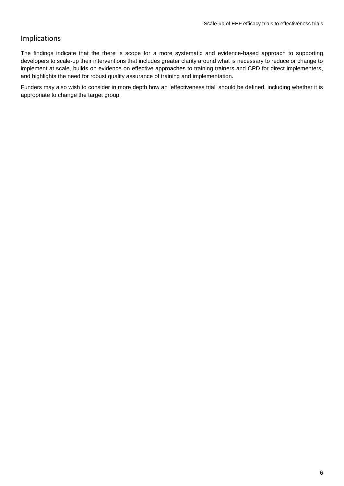# <span id="page-6-0"></span>Implications

The findings indicate that the there is scope for a more systematic and evidence-based approach to supporting developers to scale-up their interventions that includes greater clarity around what is necessary to reduce or change to implement at scale, builds on evidence on effective approaches to training trainers and CPD for direct implementers, and highlights the need for robust quality assurance of training and implementation.

Funders may also wish to consider in more depth how an 'effectiveness trial' should be defined, including whether it is appropriate to change the target group.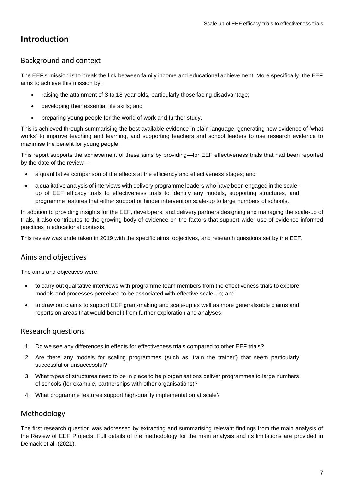# <span id="page-7-0"></span>**Introduction**

# <span id="page-7-1"></span>Background and context

The EEF's mission is to break the link between family income and educational achievement. More specifically, the EEF aims to achieve this mission by:

- raising the attainment of 3 to 18-year-olds, particularly those facing disadvantage;
- developing their essential life skills; and
- preparing young people for the world of work and further study.

This is achieved through summarising the best available evidence in plain language, generating new evidence of 'what works' to improve teaching and learning, and supporting teachers and school leaders to use research evidence to maximise the benefit for young people.

This report supports the achievement of these aims by providing—for EEF effectiveness trials that had been reported by the date of the review—

- a quantitative comparison of the effects at the efficiency and effectiveness stages; and
- a qualitative analysis of interviews with delivery programme leaders who have been engaged in the scaleup of EEF efficacy trials to effectiveness trials to identify any models, supporting structures, and programme features that either support or hinder intervention scale-up to large numbers of schools.

In addition to providing insights for the EEF, developers, and delivery partners designing and managing the scale-up of trials, it also contributes to the growing body of evidence on the factors that support wider use of evidence-informed practices in educational contexts.

This review was undertaken in 2019 with the specific aims, objectives, and research questions set by the EEF.

# <span id="page-7-2"></span>Aims and objectives

The aims and objectives were:

- to carry out qualitative interviews with programme team members from the effectiveness trials to explore models and processes perceived to be associated with effective scale-up; and
- to draw out claims to support EEF grant-making and scale-up as well as more generalisable claims and reports on areas that would benefit from further exploration and analyses.

# <span id="page-7-3"></span>Research questions

- 1. Do we see any differences in effects for effectiveness trials compared to other EEF trials?
- 2. Are there any models for scaling programmes (such as 'train the trainer') that seem particularly successful or unsuccessful?
- 3. What types of structures need to be in place to help organisations deliver programmes to large numbers of schools (for example, partnerships with other organisations)?
- 4. What programme features support high-quality implementation at scale?

# <span id="page-7-4"></span>Methodology

The first research question was addressed by extracting and summarising relevant findings from the main analysis of the Review of EEF Projects. Full details of the methodology for the main analysis and its limitations are provided in Demack et al. (2021).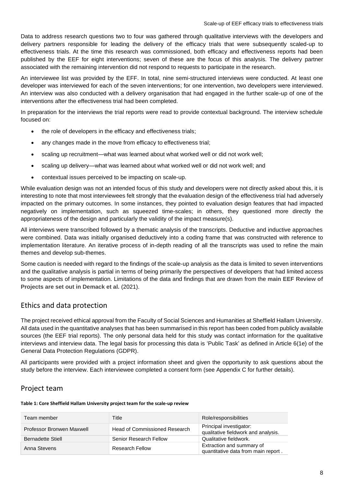Data to address research questions two to four was gathered through qualitative interviews with the developers and delivery partners responsible for leading the delivery of the efficacy trials that were subsequently scaled-up to effectiveness trials. At the time this research was commissioned, both efficacy and effectiveness reports had been published by the EEF for eight interventions; seven of these are the focus of this analysis. The delivery partner associated with the remaining intervention did not respond to requests to participate in the research.

An interviewee list was provided by the EFF. In total, nine semi-structured interviews were conducted. At least one developer was interviewed for each of the seven interventions; for one intervention, two developers were interviewed. An interview was also conducted with a delivery organisation that had engaged in the further scale-up of one of the interventions after the effectiveness trial had been completed.

In preparation for the interviews the trial reports were read to provide contextual background. The interview schedule focused on:

- the role of developers in the efficacy and effectiveness trials;
- any changes made in the move from efficacy to effectiveness trial;
- scaling up recruitment—what was learned about what worked well or did not work well;
- scaling up delivery—what was learned about what worked well or did not work well; and
- contextual issues perceived to be impacting on scale-up.

While evaluation design was not an intended focus of this study and developers were not directly asked about this, it is interesting to note that most interviewees felt strongly that the evaluation design of the effectiveness trial had adversely impacted on the primary outcomes. In some instances, they pointed to evaluation design features that had impacted negatively on implementation, such as squeezed time-scales; in others, they questioned more directly the appropriateness of the design and particularly the validity of the impact measure(s).

All interviews were transcribed followed by a thematic analysis of the transcripts. Deductive and inductive approaches were combined. Data was initially organised deductively into a coding frame that was constructed with reference to implementation literature. An iterative process of in-depth reading of all the transcripts was used to refine the main themes and develop sub-themes.

Some caution is needed with regard to the findings of the scale-up analysis as the data is limited to seven interventions and the qualitative analysis is partial in terms of being primarily the perspectives of developers that had limited access to some aspects of implementation. Limitations of the data and findings that are drawn from the **[main EEF Review of](https://educationendowmentfoundation.org.uk/public/files/Publications/Review_of_EEF_Projects.pdf/)  [Projects are set out in Demack et al.](https://educationendowmentfoundation.org.uk/public/files/Publications/Review_of_EEF_Projects.pdf/)** (2021).

# <span id="page-8-0"></span>Ethics and data protection

The project received ethical approval from the Faculty of Social Sciences and Humanities at Sheffield Hallam University. All data used in the quantitative analyses that has been summarised in this report has been coded from publicly available sources (the EEF trial reports). The only personal data held for this study was contact information for the qualitative interviews and interview data. The legal basis for processing this data is 'Public Task' as defined in Article 6(1e) of the General Data Protection Regulations (GDPR).

All participants were provided with a project information sheet and given the opportunity to ask questions about the study before the interview. Each interviewee completed a consent form (see Appendix C for further details).

#### <span id="page-8-1"></span>Project team

#### <span id="page-8-2"></span>**Table 1: Core Sheffield Hallam University project team for the scale-up review**

| Team member               | Title                                | Role/responsibilities                                            |
|---------------------------|--------------------------------------|------------------------------------------------------------------|
| Professor Bronwen Maxwell | <b>Head of Commissioned Research</b> | Principal investigator:<br>qualitative fieldwork and analysis.   |
| <b>Bernadette Stiell</b>  | Senior Research Fellow               | Qualitative fieldwork.                                           |
| Anna Stevens              | <b>Research Fellow</b>               | Extraction and summary of<br>quantitative data from main report. |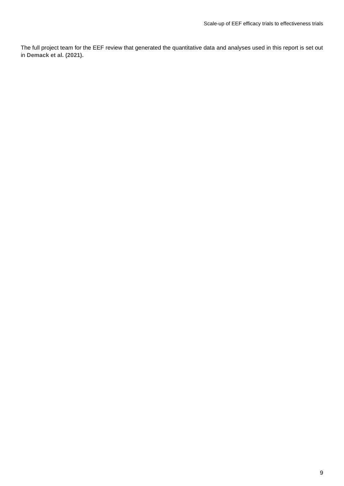The full project team for the EEF review that generated the quantitative data and analyses used in this report is set out in **[Demack et al. \(2021\).](https://educationendowmentfoundation.org.uk/public/files/Publications/Review_of_EEF_Projects.pdf/)**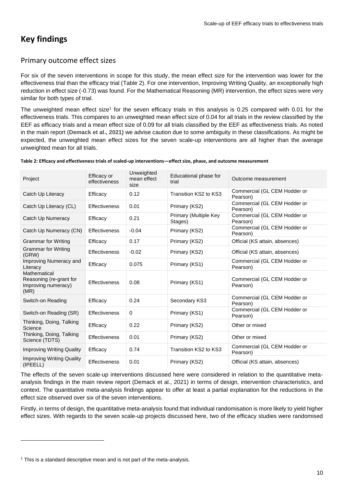# <span id="page-10-0"></span>**Key findings**

# <span id="page-10-1"></span>Primary outcome effect sizes

For six of the seven interventions in scope for this study, the mean effect size for the intervention was lower for the effectiveness trial than the efficacy trial (Table 2). For one intervention, Improving Writing Quality, an exceptionally high reduction in effect size (-0.73) was found. For the Mathematical Reasoning (MR) intervention, the effect sizes were very similar for both types of trial.

The unweighted mean effect size<sup>1</sup> for the seven efficacy trials in this analysis is 0.25 compared with 0.01 for the effectiveness trials. This compares to an unweighted mean effect size of 0.04 for all trials in the review classified by the EEF as efficacy trials and a mean effect size of 0.09 for all trials classified by the EEF as effectiveness trials. As noted in the main report (**[Demack et al., 2021\)](https://educationendowmentfoundation.org.uk/public/files/Publications/Review_of_EEF_Projects.pdf/)** we advise caution due to some ambiguity in these classifications. As might be expected, the unweighted mean effect sizes for the seven scale-up interventions are all higher than the average unweighted mean for all trials.

| Project                                                                | Efficacy or<br>effectiveness | Unweighted<br>mean effect<br>size | Educational phase for<br>trial   | Outcome measurement                      |
|------------------------------------------------------------------------|------------------------------|-----------------------------------|----------------------------------|------------------------------------------|
| Catch Up Literacy                                                      | Efficacy                     | 0.12                              | Transition KS2 to KS3            | Commercial (GL CEM Hodder or<br>Pearson) |
| Catch Up Literacy (CL)                                                 | Effectiveness                | 0.01                              | Primary (KS2)                    | Commercial (GL CEM Hodder or<br>Pearson) |
| Catch Up Numeracy                                                      | Efficacy                     | 0.21                              | Primary (Multiple Key<br>Stages) | Commercial (GL CEM Hodder or<br>Pearson) |
| Catch Up Numeracy (CN)                                                 | <b>Effectiveness</b>         | $-0.04$                           | Primary (KS2)                    | Commercial (GL CEM Hodder or<br>Pearson) |
| <b>Grammar for Writing</b>                                             | Efficacy                     | 0.17                              | Primary (KS2)                    | Official (KS attain, absences)           |
| <b>Grammar for Writing</b><br>(GRW)                                    | <b>Effectiveness</b>         | $-0.02$                           | Primary (KS2)                    | Official (KS attain, absences)           |
| Improving Numeracy and<br>Literacy                                     | Efficacy                     | 0.075                             | Primary (KS1)                    | Commercial (GL CEM Hodder or<br>Pearson) |
| Mathematical<br>Reasoning (re-grant for<br>Improving numeracy)<br>(MR) | <b>Effectiveness</b>         | 0.08                              | Primary (KS1)                    | Commercial (GL CEM Hodder or<br>Pearson) |
| Switch-on Reading                                                      | Efficacy                     | 0.24                              | Secondary KS3                    | Commercial (GL CEM Hodder or<br>Pearson) |
| Switch-on Reading (SR)                                                 | <b>Effectiveness</b>         | 0                                 | Primary (KS1)                    | Commercial (GL CEM Hodder or<br>Pearson) |
| Thinking, Doing, Talking<br>Science                                    | Efficacy                     | 0.22                              | Primary (KS2)                    | Other or mixed                           |
| Thinking, Doing, Talking<br>Science (TDTS)                             | <b>Effectiveness</b>         | 0.01                              | Primary (KS2)                    | Other or mixed                           |
| <b>Improving Writing Quality</b>                                       | Efficacy                     | 0.74                              | Transition KS2 to KS3            | Commercial (GL CEM Hodder or<br>Pearson) |
| <b>Improving Writing Quality</b><br>(IPEELL)                           | <b>Effectiveness</b>         | 0.01                              | Primary (KS2)                    | Official (KS attain, absences)           |

<span id="page-10-2"></span>**Table 2: Efficacy and effectiveness trials of scaled-up interventions—effect size, phase, and outcome measurement**

The effects of the seven scale-up interventions discussed here were considered in relation to the quantitative metaanalysis findings in the main review report (Demack et al., 2021) in terms of design, intervention characteristics, and context. The quantitative meta-analysis findings appear to offer at least a partial explanation for the reductions in the effect size observed over six of the seven interventions.

Firstly, in terms of design, the quantitative meta-analysis found that individual randomisation is more likely to yield higher effect sizes. With regards to the seven scale-up projects discussed here, two of the efficacy studies were randomised

 $1$  This is a standard descriptive mean and is not part of the meta-analysis.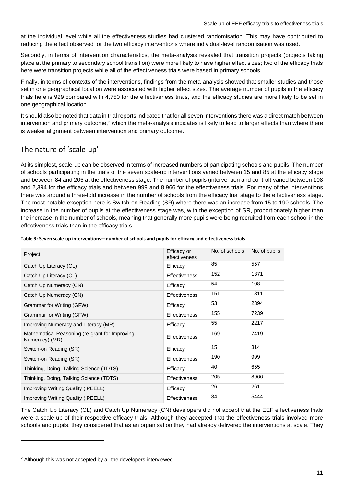at the individual level while all the effectiveness studies had clustered randomisation. This may have contributed to reducing the effect observed for the two efficacy interventions where individual-level randomisation was used.

Secondly, in terms of intervention characteristics, the meta-analysis revealed that transition projects (projects taking place at the primary to secondary school transition) were more likely to have higher effect sizes; two of the efficacy trials here were transition projects while all of the effectiveness trials were based in primary schools.

Finally, in terms of contexts of the interventions, findings from the meta-analysis showed that smaller studies and those set in one geographical location were associated with higher effect sizes. The average number of pupils in the efficacy trials here is 929 compared with 4,750 for the effectiveness trials, and the efficacy studies are more likely to be set in one geographical location.

It should also be noted that data in trial reports indicated that for all seven interventions there was a direct match between intervention and primary outcome,<sup>2</sup> which the meta-analysis indicates is likely to lead to larger effects than where there is weaker alignment between intervention and primary outcome.

# <span id="page-11-0"></span>The nature of 'scale-up'

At its simplest, scale-up can be observed in terms of increased numbers of participating schools and pupils. The number of schools participating in the trials of the seven scale-up interventions varied between 15 and 85 at the efficacy stage and between 84 and 205 at the effectiveness stage. The number of pupils (intervention and control) varied between 108 and 2,394 for the efficacy trials and between 999 and 8,966 for the effectiveness trials. For many of the interventions there was around a three-fold increase in the number of schools from the efficacy trial stage to the effectiveness stage. The most notable exception here is Switch-on Reading (SR) where there was an increase from 15 to 190 schools. The increase in the number of pupils at the effectiveness stage was, with the exception of SR, proportionately higher than the increase in the number of schools, meaning that generally more pupils were being recruited from each school in the effectiveness trials than in the efficacy trials.

| Project                                                          | Efficacy or<br>effectiveness | No. of schools | No. of pupils |
|------------------------------------------------------------------|------------------------------|----------------|---------------|
| Catch Up Literacy (CL)                                           | Efficacy                     | 85             | 557           |
| Catch Up Literacy (CL)                                           | Effectiveness                | 152            | 1371          |
| Catch Up Numeracy (CN)                                           | Efficacy                     | 54             | 108           |
| Catch Up Numeracy (CN)                                           | <b>Effectiveness</b>         | 151            | 1811          |
| Grammar for Writing (GFW)                                        | Efficacy                     | 53             | 2394          |
| Grammar for Writing (GFW)                                        | <b>Effectiveness</b>         | 155            | 7239          |
| Improving Numeracy and Literacy (MR)                             | Efficacy                     | 55             | 2217          |
| Mathematical Reasoning (re-grant for Improving<br>Numeracy) (MR) | Effectiveness                | 169            | 7419          |
| Switch-on Reading (SR)                                           | Efficacy                     | 15             | 314           |
| Switch-on Reading (SR)                                           | <b>Effectiveness</b>         | 190            | 999           |
| Thinking, Doing, Talking Science (TDTS)                          | Efficacy                     | 40             | 655           |
| Thinking, Doing, Talking Science (TDTS)                          | <b>Effectiveness</b>         | 205            | 8966          |
| Improving Writing Quality (IPEELL)                               | Efficacy                     | 26             | 261           |
| Improving Writing Quality (IPEELL)                               | Effectiveness                | 84             | 5444          |

#### <span id="page-11-1"></span>**Table 3: Seven scale-up interventions—number of schools and pupils for efficacy and effectiveness trials**

The Catch Up Literacy (CL) and Catch Up Numeracy (CN) developers did not accept that the EEF effectiveness trials were a scale-up of their respective efficacy trials. Although they accepted that the effectiveness trials involved more schools and pupils, they considered that as an organisation they had already delivered the interventions at scale. They

<sup>2</sup> Although this was not accepted by all the developers interviewed.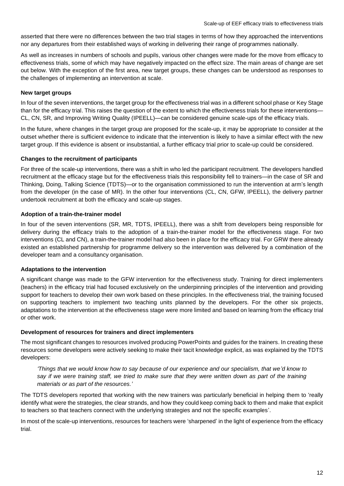asserted that there were no differences between the two trial stages in terms of how they approached the interventions nor any departures from their established ways of working in delivering their range of programmes nationally.

As well as increases in numbers of schools and pupils, various other changes were made for the move from efficacy to effectiveness trials, some of which may have negatively impacted on the effect size. The main areas of change are set out below. With the exception of the first area, new target groups, these changes can be understood as responses to the challenges of implementing an intervention at scale.

#### **New target groups**

In four of the seven interventions, the target group for the effectiveness trial was in a different school phase or Key Stage than for the efficacy trial. This raises the question of the extent to which the effectiveness trials for these interventions— CL, CN, SR, and Improving Writing Quality (IPEELL)—can be considered genuine scale-ups of the efficacy trials.

In the future, where changes in the target group are proposed for the scale-up, it may be appropriate to consider at the outset whether there is sufficient evidence to indicate that the intervention is likely to have a similar effect with the new target group. If this evidence is absent or insubstantial, a further efficacy trial prior to scale-up could be considered.

#### **Changes to the recruitment of participants**

For three of the scale-up interventions, there was a shift in who led the participant recruitment. The developers handled recruitment at the efficacy stage but for the effectiveness trials this responsibility fell to trainers—in the case of SR and Thinking, Doing, Talking Science (TDTS)—or to the organisation commissioned to run the intervention at arm's length from the developer (in the case of MR). In the other four interventions (CL, CN, GFW, IPEELL), the delivery partner undertook recruitment at both the efficacy and scale-up stages.

#### **Adoption of a train-the-trainer model**

In four of the seven interventions (SR, MR, TDTS, IPEELL), there was a shift from developers being responsible for delivery during the efficacy trials to the adoption of a train-the-trainer model for the effectiveness stage. For two interventions (CL and CN), a train-the-trainer model had also been in place for the efficacy trial. For GRW there already existed an established partnership for programme delivery so the intervention was delivered by a combination of the developer team and a consultancy organisation.

#### **Adaptations to the intervention**

A significant change was made to the GFW intervention for the effectiveness study. Training for direct implementers (teachers) in the efficacy trial had focused exclusively on the underpinning principles of the intervention and providing support for teachers to develop their own work based on these principles. In the effectiveness trial, the training focused on supporting teachers to implement two teaching units planned by the developers. For the other six projects, adaptations to the intervention at the effectiveness stage were more limited and based on learning from the efficacy trial or other work.

#### **Development of resources for trainers and direct implementers**

The most significant changes to resources involved producing PowerPoints and guides for the trainers. In creating these resources some developers were actively seeking to make their tacit knowledge explicit, as was explained by the TDTS developers:

*'Things that we would know how to say because of our experience and our specialism, that we'd know to*  say if we were training staff, we tried to make sure that they were written down as part of the training *materials or as part of the resources.'*

The TDTS developers reported that working with the new trainers was particularly beneficial in helping them to 'really identify what were the strategies, the clear strands, and how they could keep coming back to them and make that explicit to teachers so that teachers connect with the underlying strategies and not the specific examples'.

In most of the scale-up interventions, resources for teachers were 'sharpened' in the light of experience from the efficacy trial.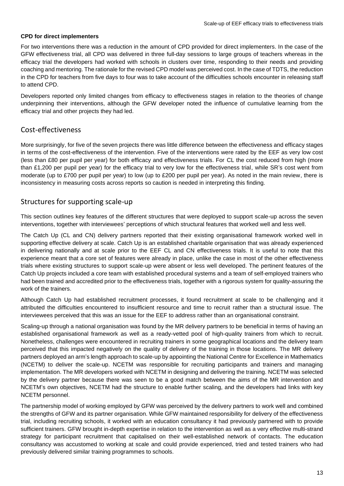#### **CPD for direct implementers**

For two interventions there was a reduction in the amount of CPD provided for direct implementers. In the case of the GFW effectiveness trial, all CPD was delivered in three full-day sessions to large groups of teachers whereas in the efficacy trial the developers had worked with schools in clusters over time, responding to their needs and providing coaching and mentoring. The rationale for the revised CPD model was perceived cost. In the case of TDTS, the reduction in the CPD for teachers from five days to four was to take account of the difficulties schools encounter in releasing staff to attend CPD.

Developers reported only limited changes from efficacy to effectiveness stages in relation to the theories of change underpinning their interventions, although the GFW developer noted the influence of cumulative learning from the efficacy trial and other projects they had led.

## <span id="page-13-0"></span>Cost-effectiveness

More surprisingly, for five of the seven projects there was little difference between the effectiveness and efficacy stages in terms of the cost-effectiveness of the intervention. Five of the interventions were rated by the EEF as very low cost (less than £80 per pupil per year) for both efficacy and effectiveness trials. For CL the cost reduced from high (more than £1,200 per pupil per year) for the efficacy trial to very low for the effectiveness trial, while SR's cost went from moderate (up to £700 per pupil per year) to low (up to £200 per pupil per year). As noted in the main review, there is inconsistency in measuring costs across reports so caution is needed in interpreting this finding.

# <span id="page-13-1"></span>Structures for supporting scale-up

This section outlines key features of the different structures that were deployed to support scale-up across the seven interventions, together with interviewees' perceptions of which structural features that worked well and less well.

The Catch Up (CL and CN) delivery partners reported that their existing organisational framework worked well in supporting effective delivery at scale. Catch Up is an established charitable organisation that was already experienced in delivering nationally and at scale prior to the EEF CL and CN effectiveness trials. It is useful to note that this experience meant that a core set of features were already in place, unlike the case in most of the other effectiveness trials where existing structures to support scale-up were absent or less well developed. The pertinent features of the Catch Up projects included a core team with established procedural systems and a team of self-employed trainers who had been trained and accredited prior to the effectiveness trials, together with a rigorous system for quality-assuring the work of the trainers.

Although Catch Up had established recruitment processes, it found recruitment at scale to be challenging and it attributed the difficulties encountered to insufficient resource and time to recruit rather than a structural issue. The interviewees perceived that this was an issue for the EEF to address rather than an organisational constraint.

Scaling-up through a national organisation was found by the MR delivery partners to be beneficial in terms of having an established organisational framework as well as a ready-vetted pool of high-quality trainers from which to recruit. Nonetheless, challenges were encountered in recruiting trainers in some geographical locations and the delivery team perceived that this impacted negatively on the quality of delivery of the training in those locations. The MR delivery partners deployed an arm's length approach to scale-up by appointing the National Centre for Excellence in Mathematics (NCETM) to deliver the scale-up. NCETM was responsible for recruiting participants and trainers and managing implementation. The MR developers worked with NCETM in designing and delivering the training. NCETM was selected by the delivery partner because there was seen to be a good match between the aims of the MR intervention and NCETM's own objectives, NCETM had the structure to enable further scaling, and the developers had links with key NCETM personnel.

The partnership model of working employed by GFW was perceived by the delivery partners to work well and combined the strengths of GFW and its partner organisation. While GFW maintained responsibility for delivery of the effectiveness trial, including recruiting schools, it worked with an education consultancy it had previously partnered with to provide sufficient trainers. GFW brought in-depth expertise in relation to the intervention as well as a very effective multi-strand strategy for participant recruitment that capitalised on their well-established network of contacts. The education consultancy was accustomed to working at scale and could provide experienced, tried and tested trainers who had previously delivered similar training programmes to schools.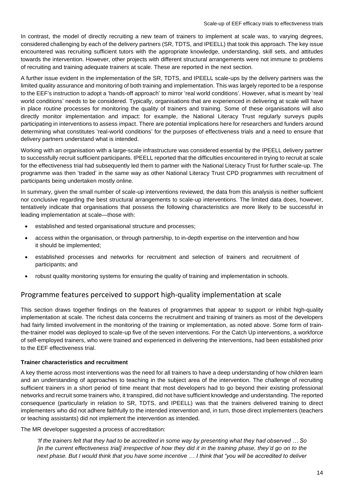In contrast, the model of directly recruiting a new team of trainers to implement at scale was, to varying degrees, considered challenging by each of the delivery partners (SR, TDTS, and IPEELL) that took this approach. The key issue encountered was recruiting sufficient tutors with the appropriate knowledge, understanding, skill sets, and attitudes towards the intervention. However, other projects with different structural arrangements were not immune to problems of recruiting and training adequate trainers at scale. These are reported in the next section.

A further issue evident in the implementation of the SR, TDTS, and IPEELL scale-ups by the delivery partners was the limited quality assurance and monitoring of both training and implementation. This was largely reported to be a response to the EEF's instruction to adopt a 'hands-off approach' to mirror 'real world conditions'. However, what is meant by 'real world conditions' needs to be considered. Typically, organisations that are experienced in delivering at scale will have in place routine processes for monitoring the quality of trainers and training. Some of these organisations will also directly monitor implementation and impact: for example, the National Literacy Trust regularly surveys pupils participating in interventions to assess impact. There are potential implications here for researchers and funders around determining what constitutes 'real-world conditions' for the purposes of effectiveness trials and a need to ensure that delivery partners understand what is intended.

Working with an organisation with a large-scale infrastructure was considered essential by the IPEELL delivery partner to successfully recruit sufficient participants. IPEELL reported that the difficulties encountered in trying to recruit at scale for the effectiveness trial had subsequently led them to partner with the National Literacy Trust for further scale-up. The programme was then 'traded' in the same way as other National Literacy Trust CPD programmes with recruitment of participants being undertaken mostly online.

In summary, given the small number of scale-up interventions reviewed, the data from this analysis is neither sufficient nor conclusive regarding the best structural arrangements to scale-up interventions. The limited data does, however, tentatively indicate that organisations that possess the following characteristics are more likely to be successful in leading implementation at scale—those with:

- established and tested organisational structure and processes;
- access within the organisation, or through partnership, to in-depth expertise on the intervention and how it should be implemented;
- established processes and networks for recruitment and selection of trainers and recruitment of participants; and
- robust quality monitoring systems for ensuring the quality of training and implementation in schools.

# <span id="page-14-0"></span>Programme features perceived to support high-quality implementation at scale

This section draws together findings on the features of programmes that appear to support or inhibit high-quality implementation at scale. The richest data concerns the recruitment and training of trainers as most of the developers had fairly limited involvement in the monitoring of the training or implementation, as noted above. Some form of trainthe-trainer model was deployed to scale-up five of the seven interventions. For the Catch Up interventions, a workforce of self-employed trainers, who were trained and experienced in delivering the interventions, had been established prior to the EEF effectiveness trial.

#### **Trainer characteristics and recruitment**

A key theme across most interventions was the need for all trainers to have a deep understanding of how children learn and an understanding of approaches to teaching in the subject area of the intervention. The challenge of recruiting sufficient trainers in a short period of time meant that most developers had to go beyond their existing professional networks and recruit some trainers who, it transpired, did not have sufficient knowledge and understanding. The reported consequence (particularly in relation to SR, TDTS, and IPEELL) was that the trainers delivered training to direct implementers who did not adhere faithfully to the intended intervention and, in turn, those direct implementers (teachers or teaching assistants) did not implement the intervention as intended.

The MR developer suggested a process of accreditation:

*'If the trainers felt that they had to be accredited in some way by presenting what they had observed … So [in the current effectiveness trial] irrespective of how they did it in the training phase, they'd go on to the next phase. But I would think that you have some incentive … I think that "you will be accredited to deliver*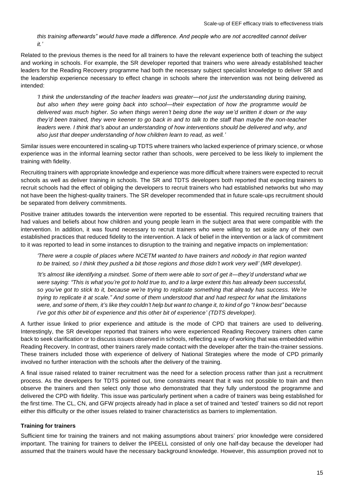*this training afterwards" would have made a difference. And people who are not accredited cannot deliver it.'*

Related to the previous themes is the need for all trainers to have the relevant experience both of teaching the subject and working in schools. For example, the SR developer reported that trainers who were already established teacher leaders for the Reading Recovery programme had both the necessary subject specialist knowledge to deliver SR and the leadership experience necessary to effect change in schools where the intervention was not being delivered as intended:

*'I think the understanding of the teacher leaders was greater—not just the understanding during training, but also when they were going back into school—their expectation of how the programme would be delivered was much higher. So when things weren't being done the way we'd written it down or the way they'd been trained, they were keener to go back in and to talk to the staff than maybe the non-teacher leaders were. I think that's about an understanding of how interventions should be delivered and why, and also just that deeper understanding of how children learn to read, as well.'*

Similar issues were encountered in scaling-up TDTS where trainers who lacked experience of primary science, or whose experience was in the informal learning sector rather than schools, were perceived to be less likely to implement the training with fidelity.

Recruiting trainers with appropriate knowledge and experience was more difficult where trainers were expected to recruit schools as well as deliver training in schools. The SR and TDTS developers both reported that expecting trainers to recruit schools had the effect of obliging the developers to recruit trainers who had established networks but who may not have been the highest-quality trainers. The SR developer recommended that in future scale-ups recruitment should be separated from delivery commitments.

Positive trainer attitudes towards the intervention were reported to be essential. This required recruiting trainers that had values and beliefs about how children and young people learn in the subject area that were compatible with the intervention. In addition, it was found necessary to recruit trainers who were willing to set aside any of their own established practices that reduced fidelity to the intervention. A lack of belief in the intervention or a lack of commitment to it was reported to lead in some instances to disruption to the training and negative impacts on implementation:

*'There were a couple of places where NCETM wanted to have trainers and nobody in that region wanted to be trained, so I think they pushed a bit those regions and those didn't work very well' (MR developer).*

*'It's almost like identifying a mindset. Some of them were able to sort of get it—they'd understand what we were saying: "This is what you're got to hold true to, and to a large extent this has already been successful, so you've got to stick to it, because we're trying to replicate something that already has success. We're trying to replicate it at scale." And some of them understood that and had respect for what the limitations were, and some of them, it's like they couldn't help but want to change it, to kind of go "I know best" because I've got this other bit of experience and this other bit of experience' (TDTS developer).*

A further issue linked to prior experience and attitude is the mode of CPD that trainers are used to delivering. Interestingly, the SR developer reported that trainers who were experienced Reading Recovery trainers often came back to seek clarification or to discuss issues observed in schools, reflecting a way of working that was embedded within Reading Recovery. In contrast, other trainers rarely made contact with the developer after the train-the-trainer sessions. These trainers included those with experience of delivery of National Strategies where the mode of CPD primarily involved no further interaction with the schools after the delivery of the training.

A final issue raised related to trainer recruitment was the need for a selection process rather than just a recruitment process. As the developers for TDTS pointed out, time constraints meant that it was not possible to train and then observe the trainers and then select only those who demonstrated that they fully understood the programme and delivered the CPD with fidelity. This issue was particularly pertinent when a cadre of trainers was being established for the first time. The CL, CN, and GFW projects already had in place a set of trained and 'tested' trainers so did not report either this difficulty or the other issues related to trainer characteristics as barriers to implementation.

#### **Training for trainers**

Sufficient time for training the trainers and not making assumptions about trainers' prior knowledge were considered important. The training for trainers to deliver the IPEELL consisted of only one half-day because the developer had assumed that the trainers would have the necessary background knowledge. However, this assumption proved not to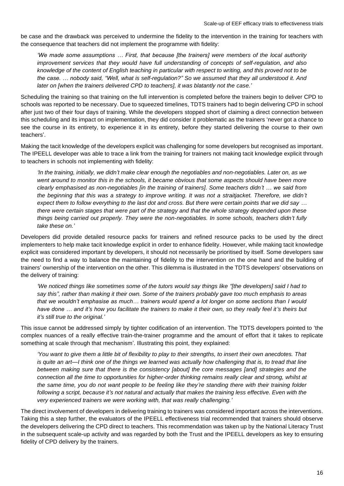be case and the drawback was perceived to undermine the fidelity to the intervention in the training for teachers with the consequence that teachers did not implement the programme with fidelity:

*'We made some assumptions … First, that because [the trainers] were members of the local authority improvement services that they would have full understanding of concepts of self-regulation, and also knowledge of the content of English teaching in particular with respect to writing, and this proved not to be the case. … nobody said, "Well, what is self-regulation?" So we assumed that they all understood it. And later on [when the trainers delivered CPD to teachers], it was blatantly not the case.'*

Scheduling the training so that training on the full intervention is completed before the trainers begin to deliver CPD to schools was reported to be necessary. Due to squeezed timelines, TDTS trainers had to begin delivering CPD in school after just two of their four days of training. While the developers stopped short of claiming a direct connection between this scheduling and its impact on implementation, they did consider it problematic as the trainers 'never got a chance to see the course in its entirety, to experience it in its entirety, before they started delivering the course to their own teachers'.

Making the tacit knowledge of the developers explicit was challenging for some developers but recognised as important. The IPEELL developer was able to trace a link from the training for trainers not making tacit knowledge explicit through to teachers in schools not implementing with fidelity:

*'In the training, initially, we didn't make clear enough the negotiables and non-negotiables. Later on, as we*  went around to monitor this in the schools, it became obvious that some aspects should have been more *clearly emphasised as non-negotiables [in the training of trainers]. Some teachers didn't … we said from the beginning that this was a strategy to improve writing. It was not a straitjacket. Therefore, we didn't expect them to follow everything to the last dot and cross. But there were certain points that we did say … there were certain stages that were part of the strategy and that the whole strategy depended upon these things being carried out properly. They were the non-negotiables. In some schools, teachers didn't fully take these on.'*

Developers did provide detailed resource packs for trainers and refined resource packs to be used by the direct implementers to help make tacit knowledge explicit in order to enhance fidelity. However, while making tacit knowledge explicit was considered important by developers, it should not necessarily be prioritised by itself. Some developers saw the need to find a way to balance the maintaining of fidelity to the intervention on the one hand and the building of trainers' ownership of the intervention on the other. This dilemma is illustrated in the TDTS developers' observations on the delivery of training:

*'We noticed things like sometimes some of the tutors would say things like "[the developers] said I had to say this", rather than making it their own. Some of the trainers probably gave too much emphasis to areas that we wouldn't emphasise as much… trainers would spend a lot longer on some sections than I would have done … and it's how you facilitate the trainers to make it their own, so they really feel it's theirs but it's still true to the original.'*

This issue cannot be addressed simply by tighter codification of an intervention. The TDTS developers pointed to 'the complex nuances of a really effective train-the-trainer programme and the amount of effort that it takes to replicate something at scale through that mechanism'. Illustrating this point, they explained:

*'You want to give them a little bit of flexibility to play to their strengths, to insert their own anecdotes. That is quite an art—I think one of the things we learned was actually how challenging that is, to tread that line between making sure that there is the consistency [about] the core messages [and] strategies and the connection all the time to opportunities for higher-order thinking remains really clear and strong, whilst at the same time, you do not want people to be feeling like they're standing there with their training folder following a script, because it's not natural and actually that makes the training less effective. Even with the very experienced trainers we were working with, that was really challenging.'*

The direct involvement of developers in delivering training to trainers was considered important across the interventions. Taking this a step further, the evaluators of the IPEELL effectiveness trial recommended that trainers should observe the developers delivering the CPD direct to teachers. This recommendation was taken up by the National Literacy Trust in the subsequent scale-up activity and was regarded by both the Trust and the IPEELL developers as key to ensuring fidelity of CPD delivery by the trainers.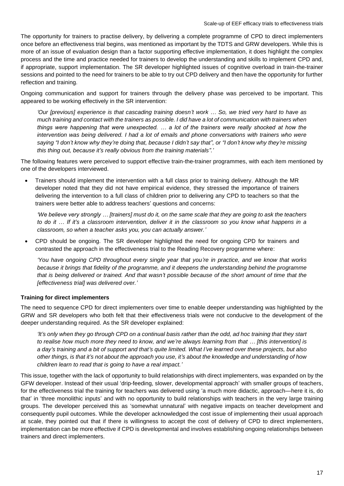The opportunity for trainers to practise delivery, by delivering a complete programme of CPD to direct implementers once before an effectiveness trial begins, was mentioned as important by the TDTS and GRW developers. While this is more of an issue of evaluation design than a factor supporting effective implementation, it does highlight the complex process and the time and practice needed for trainers to develop the understanding and skills to implement CPD and, if appropriate, support implementation. The SR developer highlighted issues of cognitive overload in train-the-trainer sessions and pointed to the need for trainers to be able to try out CPD delivery and then have the opportunity for further reflection and training.

Ongoing communication and support for trainers through the delivery phase was perceived to be important. This appeared to be working effectively in the SR intervention:

*'Our [previous] experience is that cascading training doesn't work … So, we tried very hard to have as much training and contact with the trainers as possible. I did have a lot of communication with trainers when things were happening that were unexpected. … a lot of the trainers were really shocked at how the intervention was being delivered. I had a lot of emails and phone conversations with trainers who were saying "I don't know why they're doing that, because I didn't say that", or "I don't know why they're missing this thing out, because it's really obvious from the training materials".'*

The following features were perceived to support effective train-the-trainer programmes, with each item mentioned by one of the developers interviewed.

• Trainers should implement the intervention with a full class prior to training delivery. Although the MR developer noted that they did not have empirical evidence, they stressed the importance of trainers delivering the intervention to a full class of children prior to delivering any CPD to teachers so that the trainers were better able to address teachers' questions and concerns:

*'We believe very strongly … [trainers] must do it, on the same scale that they are going to ask the teachers to do it … If it's a classroom intervention, deliver it in the classroom so you know what happens in a classroom, so when a teacher asks you, you can actually answer.'*

• CPD should be ongoing. The SR developer highlighted the need for ongoing CPD for trainers and contrasted the approach in the effectiveness trial to the Reading Recovery programme where:

*'You have ongoing CPD throughout every single year that you're in practice, and we know that works because it brings that fidelity of the programme, and it deepens the understanding behind the programme that is being delivered or trained. And that wasn't possible because of the short amount of time that the [effectiveness trial] was delivered over.'*

#### **Training for direct implementers**

The need to sequence CPD for direct implementers over time to enable deeper understanding was highlighted by the GRW and SR developers who both felt that their effectiveness trials were not conducive to the development of the deeper understanding required. As the SR developer explained:

*'It's only when they go through CPD on a continual basis rather than the odd, ad hoc training that they start to realise how much more they need to know, and we're always learning from that … [this intervention] is a day's training and a bit of support and that's quite limited. What I've learned over these projects, but also other things, is that it's not about the approach you use, it's about the knowledge and understanding of how children learn to read that is going to have a real impact.'*

This issue, together with the lack of opportunity to build relationships with direct implementers, was expanded on by the GFW developer. Instead of their usual 'drip-feeding, slower, developmental approach' with smaller groups of teachers, for the effectiveness trial the training for teachers was delivered using 'a much more didactic, approach—here it is, do that' in 'three monolithic inputs' and with no opportunity to build relationships with teachers in the very large training groups. The developer perceived this as 'somewhat unnatural' with negative impacts on teacher development and consequently pupil outcomes. While the developer acknowledged the cost issue of implementing their usual approach at scale, they pointed out that if there is willingness to accept the cost of delivery of CPD to direct implementers, implementation can be more effective if CPD is developmental and involves establishing ongoing relationships between trainers and direct implementers.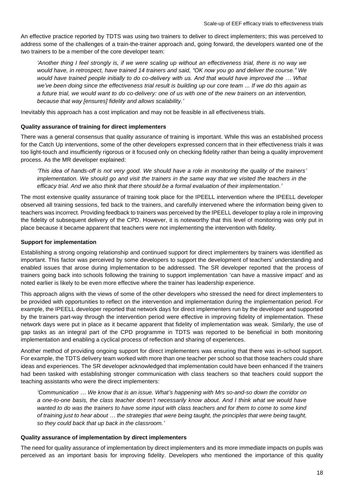An effective practice reported by TDTS was using two trainers to deliver to direct implementers; this was perceived to address some of the challenges of a train-the-trainer approach and, going forward, the developers wanted one of the two trainers to be a member of the core developer team:

*'Another thing I feel strongly is, if we were scaling up without an effectiveness trial, there is no way we would have, in retrospect, have trained 14 trainers and said, "OK now you go and deliver the course." We would have trained people initially to do co-delivery with us. And that would have improved the … What we've been doing since the effectiveness trial result is building up our core team ... If we do this again as a future trial, we would want to do co-delivery: one of us with one of the new trainers on an intervention, because that way [ensures] fidelity and allows scalability.'*

Inevitably this approach has a cost implication and may not be feasible in all effectiveness trials.

#### **Quality assurance of training for direct implementers**

There was a general consensus that quality assurance of training is important. While this was an established process for the Catch Up interventions, some of the other developers expressed concern that in their effectiveness trials it was too light-touch and insufficiently rigorous or it focused only on checking fidelity rather than being a quality improvement process. As the MR developer explained:

*'This idea of hands-off is not very good. We should have a role in monitoring the quality of the trainers' implementation. We should go and visit the trainers in the same way that we visited the teachers in the efficacy trial. And we also think that there should be a formal evaluation of their implementation.'*

The most extensive quality assurance of training took place for the IPEELL intervention where the IPEELL developer observed all training sessions, fed back to the trainers, and carefully intervened where the information being given to teachers was incorrect. Providing feedback to trainers was perceived by the IPEELL developer to play a role in improving the fidelity of subsequent delivery of the CPD. However, it is noteworthy that this level of monitoring was only put in place because it became apparent that teachers were not implementing the intervention with fidelity.

#### **Support for implementation**

Establishing a strong ongoing relationship and continued support for direct implementers by trainers was identified as important. This factor was perceived by some developers to support the development of teachers' understanding and enabled issues that arose during implementation to be addressed. The SR developer reported that the process of trainers going back into schools following the training to support implementation 'can have a massive impact' and as noted earlier is likely to be even more effective where the trainer has leadership experience.

This approach aligns with the views of some of the other developers who stressed the need for direct implementers to be provided with opportunities to reflect on the intervention and implementation during the implementation period. For example, the IPEELL developer reported that network days for direct implementers run by the developer and supported by the trainers part-way through the intervention period were effective in improving fidelity of implementation. These network days were put in place as it became apparent that fidelity of implementation was weak. Similarly, the use of gap tasks as an integral part of the CPD programme in TDTS was reported to be beneficial in both monitoring implementation and enabling a cyclical process of reflection and sharing of experiences.

Another method of providing ongoing support for direct implementers was ensuring that there was in-school support. For example, the TDTS delivery team worked with more than one teacher per school so that those teachers could share ideas and experiences. The SR developer acknowledged that implementation could have been enhanced if the trainers had been tasked with establishing stronger communication with class teachers so that teachers could support the teaching assistants who were the direct implementers:

*'Communication … We know that is an issue. What's happening with Mrs so-and-so down the corridor on a one-to-one basis, the class teacher doesn't necessarily know about. And I think what we would have wanted to do was the trainers to have some input with class teachers and for them to come to some kind of training just to hear about … the strategies that were being taught, the principles that were being taught, so they could back that up back in the classroom.'*

#### **Quality assurance of implementation by direct implementers**

The need for quality assurance of implementation by direct implementers and its more immediate impacts on pupils was perceived as an important basis for improving fidelity. Developers who mentioned the importance of this quality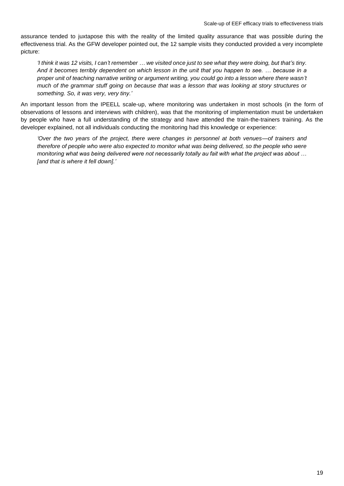assurance tended to juxtapose this with the reality of the limited quality assurance that was possible during the effectiveness trial. As the GFW developer pointed out, the 12 sample visits they conducted provided a very incomplete picture:

*'I think it was 12 visits, I can't remember … we visited once just to see what they were doing, but that's tiny. And it becomes terribly dependent on which lesson in the unit that you happen to see. … because in a proper unit of teaching narrative writing or argument writing, you could go into a lesson where there wasn't much of the grammar stuff going on because that was a lesson that was looking at story structures or something. So, it was very, very tiny.'*

An important lesson from the IPEELL scale-up, where monitoring was undertaken in most schools (in the form of observations of lessons and interviews with children), was that the monitoring of implementation must be undertaken by people who have a full understanding of the strategy and have attended the train-the-trainers training. As the developer explained, not all individuals conducting the monitoring had this knowledge or experience:

*'Over the two years of the project, there were changes in personnel at both venues—of trainers and therefore of people who were also expected to monitor what was being delivered, so the people who were monitoring what was being delivered were not necessarily totally au fait with what the project was about … [and that is where it fell down].'*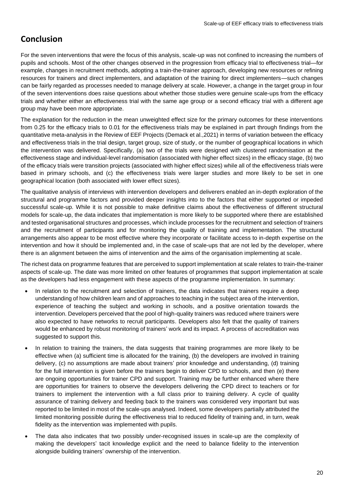# <span id="page-20-0"></span>**Conclusion**

For the seven interventions that were the focus of this analysis, scale-up was not confined to increasing the numbers of pupils and schools. Most of the other changes observed in the progression from efficacy trial to effectiveness trial—for example, changes in recruitment methods, adopting a train-the-trainer approach, developing new resources or refining resources for trainers and direct implementers, and adaptation of the training for direct implementers—such changes can be fairly regarded as processes needed to manage delivery at scale. However, a change in the target group in four of the seven interventions does raise questions about whether those studies were genuine scale-ups from the efficacy trials and whether either an effectiveness trial with the same age group or a second efficacy trial with a different age group may have been more appropriate.

The explanation for the reduction in the mean unweighted effect size for the primary outcomes for these interventions from 0.25 for the efficacy trials to 0.01 for the effectiveness trials may be explained in part through findings from the quantitative meta-analysis in the Review of EEF Projects (Demack et al.,2021) in terms of variation between the efficacy and effectiveness trials in the trial design, target group, size of study, or the number of geographical locations in which the intervention was delivered. Specifically, (a) two of the trials were designed with clustered randomisation at the effectiveness stage and individual-level randomisation (associated with higher effect sizes) in the efficacy stage, (b) two of the efficacy trials were transition projects (associated with higher effect sizes) while all of the effectiveness trials were based in primary schools, and (c) the effectiveness trials were larger studies and more likely to be set in one geographical location (both associated with lower effect sizes).

The qualitative analysis of interviews with intervention developers and deliverers enabled an in-depth exploration of the structural and programme factors and provided deeper insights into to the factors that either supported or impeded successful scale-up. While it is not possible to make definitive claims about the effectiveness of different structural models for scale-up, the data indicates that implementation is more likely to be supported where there are established and tested organisational structures and processes, which include processes for the recruitment and selection of trainers and the recruitment of participants and for monitoring the quality of training and implementation. The structural arrangements also appear to be most effective where they incorporate or facilitate access to in-depth expertise on the intervention and how it should be implemented and, in the case of scale-ups that are not led by the developer, where there is an alignment between the aims of intervention and the aims of the organisation implementing at scale.

The richest data on programme features that are perceived to support implementation at scale relates to train-the-trainer aspects of scale-up. The date was more limited on other features of programmes that support implementation at scale as the developers had less engagement with these aspects of the programme implementation. In summary:

- In relation to the recruitment and selection of trainers, the data indicates that trainers require a deep understanding of how children learn and of approaches to teaching in the subject area of the intervention, experience of teaching the subject and working in schools, and a positive orientation towards the intervention. Developers perceived that the pool of high-quality trainers was reduced where trainers were also expected to have networks to recruit participants. Developers also felt that the quality of trainers would be enhanced by robust monitoring of trainers' work and its impact. A process of accreditation was suggested to support this.
- In relation to training the trainers, the data suggests that training programmes are more likely to be effective when (a) sufficient time is allocated for the training, (b) the developers are involved in training delivery, (c) no assumptions are made about trainers' prior knowledge and understanding, (d) training for the full intervention is given before the trainers begin to deliver CPD to schools, and then (e) there are ongoing opportunities for trainer CPD and support. Training may be further enhanced where there are opportunities for trainers to observe the developers delivering the CPD direct to teachers or for trainers to implement the intervention with a full class prior to training delivery. A cycle of quality assurance of training delivery and feeding back to the trainers was considered very important but was reported to be limited in most of the scale-ups analysed. Indeed, some developers partially attributed the limited monitoring possible during the effectiveness trial to reduced fidelity of training and, in turn, weak fidelity as the intervention was implemented with pupils.
- The data also indicates that two possibly under-recognised issues in scale-up are the complexity of making the developers' tacit knowledge explicit and the need to balance fidelity to the intervention alongside building trainers' ownership of the intervention.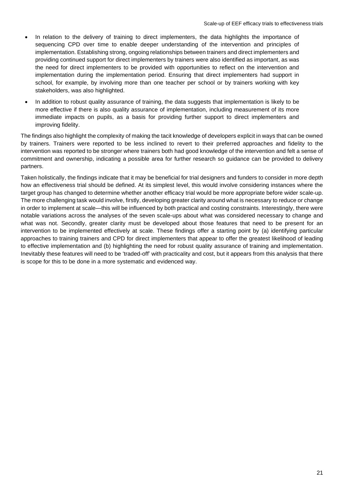- In relation to the delivery of training to direct implementers, the data highlights the importance of sequencing CPD over time to enable deeper understanding of the intervention and principles of implementation. Establishing strong, ongoing relationships between trainers and direct implementers and providing continued support for direct implementers by trainers were also identified as important, as was the need for direct implementers to be provided with opportunities to reflect on the intervention and implementation during the implementation period. Ensuring that direct implementers had support in school, for example, by involving more than one teacher per school or by trainers working with key stakeholders, was also highlighted.
- In addition to robust quality assurance of training, the data suggests that implementation is likely to be more effective if there is also quality assurance of implementation, including measurement of its more immediate impacts on pupils, as a basis for providing further support to direct implementers and improving fidelity.

The findings also highlight the complexity of making the tacit knowledge of developers explicit in ways that can be owned by trainers. Trainers were reported to be less inclined to revert to their preferred approaches and fidelity to the intervention was reported to be stronger where trainers both had good knowledge of the intervention and felt a sense of commitment and ownership, indicating a possible area for further research so guidance can be provided to delivery partners.

Taken holistically, the findings indicate that it may be beneficial for trial designers and funders to consider in more depth how an effectiveness trial should be defined. At its simplest level, this would involve considering instances where the target group has changed to determine whether another efficacy trial would be more appropriate before wider scale-up. The more challenging task would involve, firstly, developing greater clarity around what is necessary to reduce or change in order to implement at scale—this will be influenced by both practical and costing constraints. Interestingly, there were notable variations across the analyses of the seven scale-ups about what was considered necessary to change and what was not. Secondly, greater clarity must be developed about those features that need to be present for an intervention to be implemented effectively at scale. These findings offer a starting point by (a) identifying particular approaches to training trainers and CPD for direct implementers that appear to offer the greatest likelihood of leading to effective implementation and (b) highlighting the need for robust quality assurance of training and implementation. Inevitably these features will need to be 'traded-off' with practicality and cost, but it appears from this analysis that there is scope for this to be done in a more systematic and evidenced way.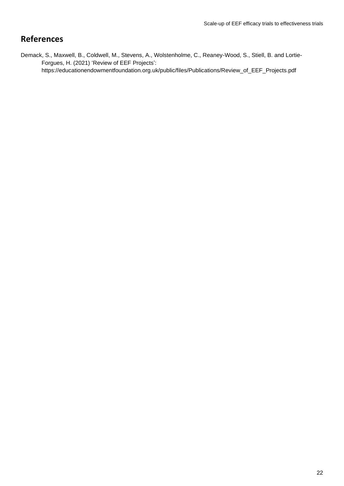# <span id="page-22-0"></span>**References**

Demack, S., Maxwell, B., Coldwell, M., Stevens, A., Wolstenholme, C., Reaney-Wood, S., Stiell, B. and Lortie-Forgues, H. (2021) 'Review of EEF Projects': [https://educationendowmentfoundation.org.uk/public/files/Publications/Review\\_of\\_EEF\\_Projects.pdf](https://educationendowmentfoundation.org.uk/public/files/Publications/Review_of_EEF_Projects.pdf)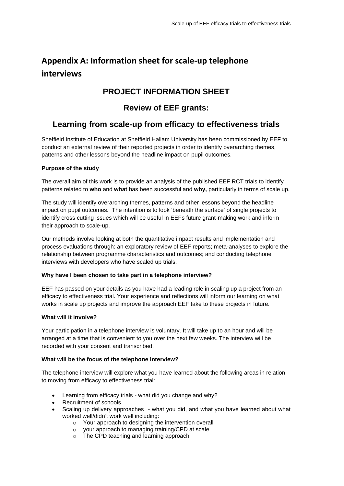# <span id="page-23-0"></span>**Appendix A: Information sheet for scale-up telephone interviews**

# **PROJECT INFORMATION SHEET**

# **Review of EEF grants:**

# **Learning from scale-up from efficacy to effectiveness trials**

Sheffield Institute of Education at Sheffield Hallam University has been commissioned by EEF to conduct an external review of their reported projects in order to identify overarching themes, patterns and other lessons beyond the headline impact on pupil outcomes.

#### **Purpose of the study**

The overall aim of this work is to provide an analysis of the published EEF RCT trials to identify patterns related to **who** and **what** has been successful and **why,** particularly in terms of scale up.

The study will identify overarching themes, patterns and other lessons beyond the headline impact on pupil outcomes. The intention is to look 'beneath the surface' of single projects to identify cross cutting issues which will be useful in EEFs future grant-making work and inform their approach to scale-up.

Our methods involve looking at both the quantitative impact results and implementation and process evaluations through: an exploratory review of EEF reports; meta-analyses to explore the relationship between programme characteristics and outcomes; and conducting telephone interviews with developers who have scaled up trials.

#### **Why have I been chosen to take part in a telephone interview?**

EEF has passed on your details as you have had a leading role in scaling up a project from an efficacy to effectiveness trial. Your experience and reflections will inform our learning on what works in scale up projects and improve the approach EEF take to these projects in future.

#### **What will it involve?**

Your participation in a telephone interview is voluntary. It will take up to an hour and will be arranged at a time that is convenient to you over the next few weeks. The interview will be recorded with your consent and transcribed.

#### **What will be the focus of the telephone interview?**

The telephone interview will explore what you have learned about the following areas in relation to moving from efficacy to effectiveness trial:

- Learning from efficacy trials what did you change and why?
- Recruitment of schools
- Scaling up delivery approaches what you did, and what you have learned about what worked well/didn't work well including:
	- o Your approach to designing the intervention overall
	- o your approach to managing training/CPD at scale
	- o The CPD teaching and learning approach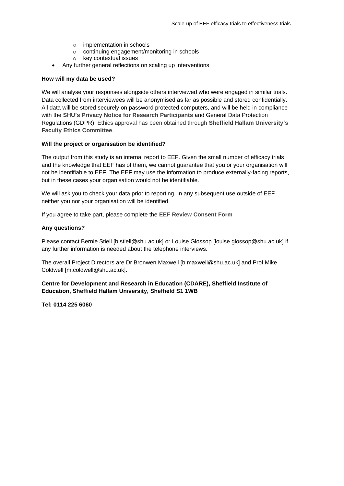- o implementation in schools
- o continuing engagement/monitoring in schools
- o key contextual issues
- Any further general reflections on scaling up interventions

#### **How will my data be used?**

We will analyse your responses alongside others interviewed who were engaged in similar trials. Data collected from interviewees will be anonymised as far as possible and stored confidentially. All data will be stored securely on password protected computers, and will be held in compliance with the **[SHU's Privacy Notice for Research Participants](https://www.shu.ac.uk/about-this-website/privacy-policy/privacy-notices/privacy-notice-for-research)** and General Data Protection Regulations (GDPR). Ethics approval has been obtained through **[Sheffield Hallam University's](https://www.shu.ac.uk/research/quality/ethics-and-integrity)  [Faculty Ethics Committee](https://www.shu.ac.uk/research/quality/ethics-and-integrity)**.

#### **Will the project or organisation be identified?**

The output from this study is an internal report to EEF. Given the small number of efficacy trials and the knowledge that EEF has of them, we cannot guarantee that you or your organisation will not be identifiable to EEF. The EEF may use the information to produce externally-facing reports, but in these cases your organisation would not be identifiable.

We will ask you to check your data prior to reporting. In any subsequent use outside of EEF neither you nor your organisation will be identified.

If you agree to take part, please complete the **[EEF Review Consent Form](https://shusls.eu.qualtrics.com/jfe/form/SV_3Qso4mQqs6yMjn7)**

#### **Any questions?**

Please contact Bernie Stiell [b.stiell@shu.ac.uk] or Louise Glossop [louise.glossop@shu.ac.uk] if any further information is needed about the telephone interviews.

The overall Project Directors are Dr Bronwen Maxwell [b.maxwell@shu.ac.uk] and Prof Mike Coldwell [m.coldwell@shu.ac.uk].

#### **Centre for Development and Research in Education (CDARE), Sheffield Institute of Education, Sheffield Hallam University, Sheffield S1 1WB**

**Tel: 0114 225 6060**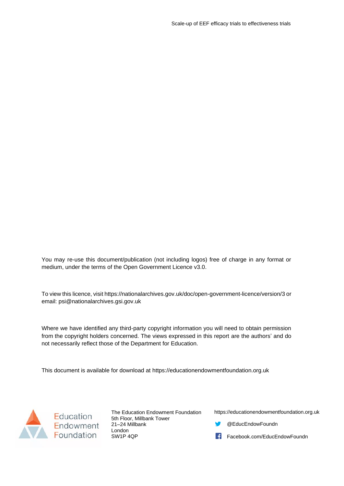You may re-use this document/publication (not including logos) free of charge in any format or medium, under the terms of the Open Government Licence v3.0.

To view this licence, visit [https://nationalarchives.gov.uk/doc/open-government-licence/version/3](https://nationalarchives.gov.uk/doc/open-government-licence/version/2) or email: [psi@nationalarchives.gsi.gov.uk](mailto:psi@nationalarchives.gsi.gov.uk)

Where we have identified any third-party copyright information you will need to obtain permission from the copyright holders concerned. The views expressed in this report are the authors' and do not necessarily reflect those of the Department for Education.

This document is available for download at [https://educationendowmentfoundation.org.uk](https://educationendowmentfoundation.org.uk/)



The Education Endowment Foundation 5th Floor, Millbank Tower 21–24 Millbank London SW1P 4QP

[https://educationendowmentfoundation.org.uk](https://educationendowmentfoundation.org.uk/)

- [@EducEndowFoundn](mailto:@EducEndowFoundn)
- [Facebook.com/EducEndowFoundn](file:///C:/Users/Emily%20Rackliffe/Desktop/Facebook.com/EducEndowFoundn)